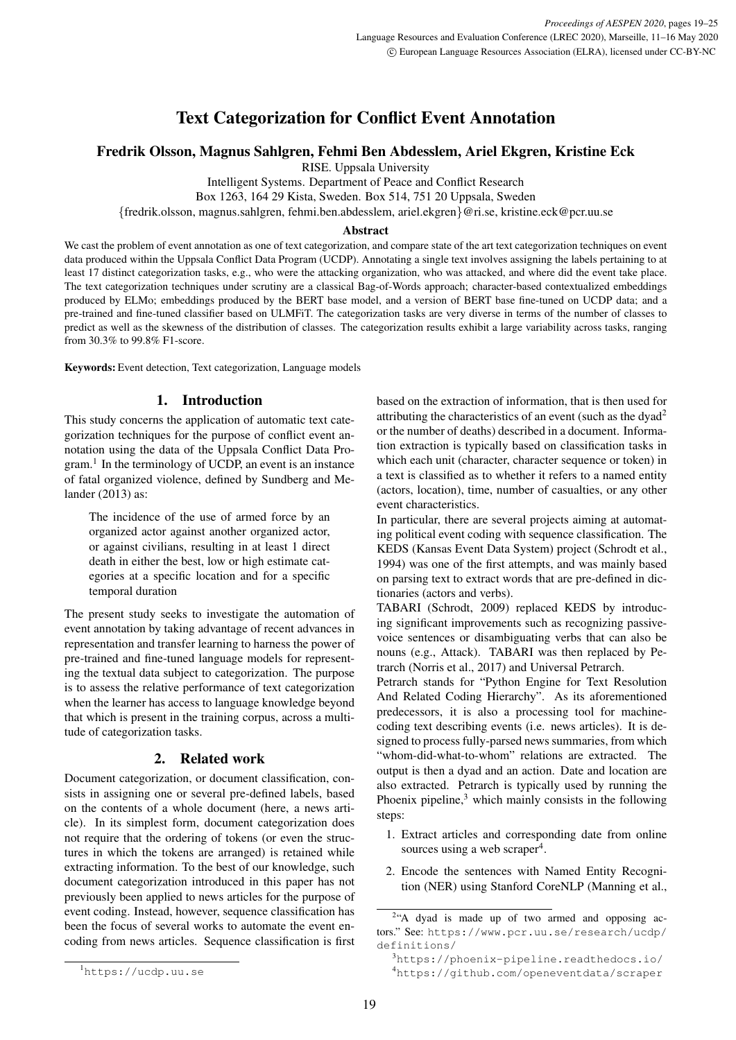# Text Categorization for Conflict Event Annotation

Fredrik Olsson, Magnus Sahlgren, Fehmi Ben Abdesslem, Ariel Ekgren, Kristine Eck

RISE. Uppsala University

Intelligent Systems. Department of Peace and Conflict Research

Box 1263, 164 29 Kista, Sweden. Box 514, 751 20 Uppsala, Sweden

{fredrik.olsson, magnus.sahlgren, fehmi.ben.abdesslem, ariel.ekgren}@ri.se, kristine.eck@pcr.uu.se

#### Abstract

We cast the problem of event annotation as one of text categorization, and compare state of the art text categorization techniques on event data produced within the Uppsala Conflict Data Program (UCDP). Annotating a single text involves assigning the labels pertaining to at least 17 distinct categorization tasks, e.g., who were the attacking organization, who was attacked, and where did the event take place. The text categorization techniques under scrutiny are a classical Bag-of-Words approach; character-based contextualized embeddings produced by ELMo; embeddings produced by the BERT base model, and a version of BERT base fine-tuned on UCDP data; and a pre-trained and fine-tuned classifier based on ULMFiT. The categorization tasks are very diverse in terms of the number of classes to predict as well as the skewness of the distribution of classes. The categorization results exhibit a large variability across tasks, ranging from 30.3% to 99.8% F1-score.

Keywords: Event detection, Text categorization, Language models

# 1. Introduction

This study concerns the application of automatic text categorization techniques for the purpose of conflict event annotation using the data of the Uppsala Conflict Data Pro-gram.<sup>[1](#page-0-0)</sup> In the terminology of UCDP, an event is an instance of fatal organized violence, defined by [Sundberg and Me](#page-6-0)[lander \(2013\)](#page-6-0) as:

The incidence of the use of armed force by an organized actor against another organized actor, or against civilians, resulting in at least 1 direct death in either the best, low or high estimate categories at a specific location and for a specific temporal duration

The present study seeks to investigate the automation of event annotation by taking advantage of recent advances in representation and transfer learning to harness the power of pre-trained and fine-tuned language models for representing the textual data subject to categorization. The purpose is to assess the relative performance of text categorization when the learner has access to language knowledge beyond that which is present in the training corpus, across a multitude of categorization tasks.

## 2. Related work

Document categorization, or document classification, consists in assigning one or several pre-defined labels, based on the contents of a whole document (here, a news article). In its simplest form, document categorization does not require that the ordering of tokens (or even the structures in which the tokens are arranged) is retained while extracting information. To the best of our knowledge, such document categorization introduced in this paper has not previously been applied to news articles for the purpose of event coding. Instead, however, sequence classification has been the focus of several works to automate the event encoding from news articles. Sequence classification is first based on the extraction of information, that is then used for attributing the characteristics of an event (such as the dyad[2](#page-0-1) or the number of deaths) described in a document. Information extraction is typically based on classification tasks in which each unit (character, character sequence or token) in a text is classified as to whether it refers to a named entity (actors, location), time, number of casualties, or any other event characteristics.

In particular, there are several projects aiming at automating political event coding with sequence classification. The KEDS (Kansas Event Data System) project [\(Schrodt et al.,](#page-6-1) [1994\)](#page-6-1) was one of the first attempts, and was mainly based on parsing text to extract words that are pre-defined in dictionaries (actors and verbs).

TABARI [\(Schrodt, 2009\)](#page-6-2) replaced KEDS by introducing significant improvements such as recognizing passivevoice sentences or disambiguating verbs that can also be nouns (e.g., Attack). TABARI was then replaced by Petrarch [\(Norris et al., 2017\)](#page-5-0) and Universal Petrarch.

Petrarch stands for "Python Engine for Text Resolution And Related Coding Hierarchy". As its aforementioned predecessors, it is also a processing tool for machinecoding text describing events (i.e. news articles). It is designed to process fully-parsed news summaries, from which "whom-did-what-to-whom" relations are extracted. The output is then a dyad and an action. Date and location are also extracted. Petrarch is typically used by running the Phoenix pipeline, $3$  which mainly consists in the following steps:

- 1. Extract articles and corresponding date from online sources using a web scraper<sup>[4](#page-0-3)</sup>.
- 2. Encode the sentences with Named Entity Recognition (NER) using Stanford CoreNLP [\(Manning et al.,](#page-5-1)

<span id="page-0-1"></span><sup>&</sup>lt;sup>2</sup>["A dyad is made up of two armed and opposing ac](#page-5-1)tors." See: [https://www.pcr.uu.se/research/ucdp/](#page-5-1) [definitions/](#page-5-1)

<span id="page-0-0"></span><sup>1</sup><https://ucdp.uu.se>

<span id="page-0-3"></span><span id="page-0-2"></span><sup>3</sup>[https://phoenix-pipeline.readthedocs.io/](#page-5-1) <sup>4</sup>[https://github.com/openeventdata/scraper](#page-5-1)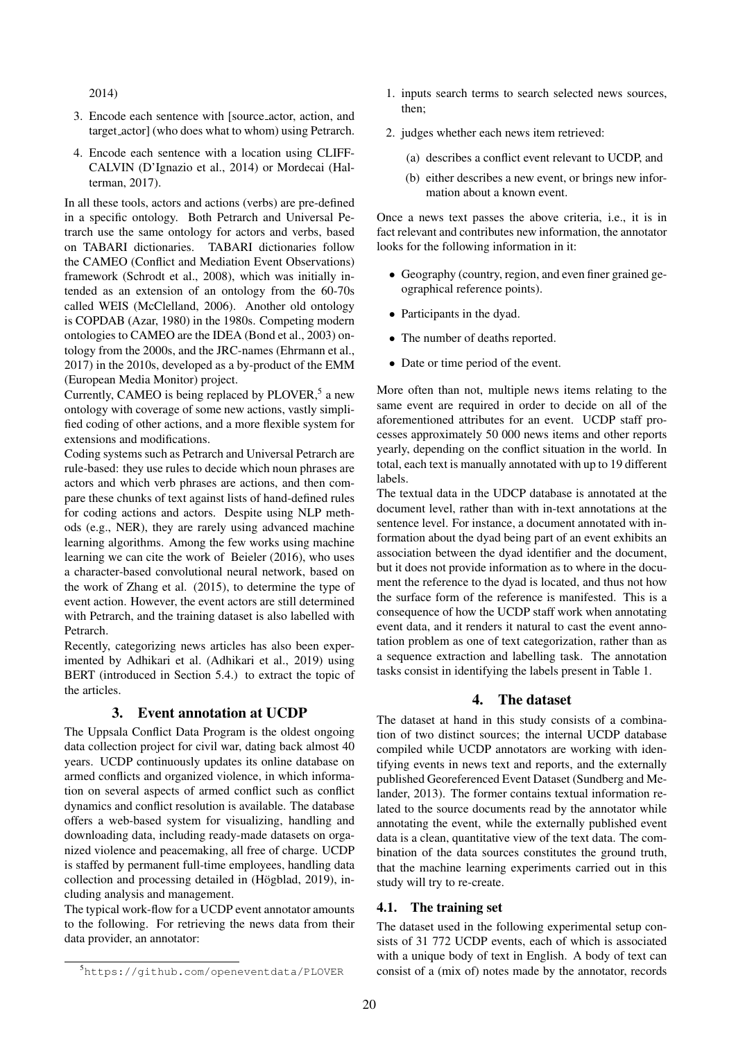[2014\)](#page-5-1)

- 3. Encode each sentence with [source actor, action, and target actor] (who does what to whom) using Petrarch.
- 4. Encode each sentence with a location using CLIFF-CALVIN [\(D'Ignazio et al., 2014\)](#page-5-2) or Mordecai [\(Hal](#page-5-3)[terman, 2017\)](#page-5-3).

In all these tools, actors and actions (verbs) are pre-defined in a specific ontology. Both Petrarch and Universal Petrarch use the same ontology for actors and verbs, based on TABARI dictionaries. TABARI dictionaries follow the CAMEO (Conflict and Mediation Event Observations) framework [\(Schrodt et al., 2008\)](#page-6-3), which was initially intended as an extension of an ontology from the 60-70s called WEIS [\(McClelland, 2006\)](#page-5-4). Another old ontology is COPDAB [\(Azar, 1980\)](#page-5-5) in the 1980s. Competing modern ontologies to CAMEO are the IDEA [\(Bond et al., 2003\)](#page-5-6) ontology from the 2000s, and the JRC-names [\(Ehrmann et al.,](#page-5-7) [2017\)](#page-5-7) in the 2010s, developed as a by-product of the EMM (European Media Monitor) project.

Currently, CAMEO is being replaced by PLOVER, $5$  a new ontology with coverage of some new actions, vastly simplified coding of other actions, and a more flexible system for extensions and modifications.

Coding systems such as Petrarch and Universal Petrarch are rule-based: they use rules to decide which noun phrases are actors and which verb phrases are actions, and then compare these chunks of text against lists of hand-defined rules for coding actions and actors. Despite using NLP methods (e.g., NER), they are rarely using advanced machine learning algorithms. Among the few works using machine learning we can cite the work of [Beieler \(2016\)](#page-5-8), who uses a character-based convolutional neural network, based on the work of [Zhang et al. \(2015\)](#page-6-4), to determine the type of event action. However, the event actors are still determined with Petrarch, and the training dataset is also labelled with Petrarch.

Recently, categorizing news articles has also been experimented by Adhikari et al. [\(Adhikari et al., 2019\)](#page-5-9) using BERT (introduced in Section [5.4.\)](#page-3-0) to extract the topic of the articles.

## 3. Event annotation at UCDP

The Uppsala Conflict Data Program is the oldest ongoing data collection project for civil war, dating back almost 40 years. UCDP continuously updates its online database on armed conflicts and organized violence, in which information on several aspects of armed conflict such as conflict dynamics and conflict resolution is available. The database offers a web-based system for visualizing, handling and downloading data, including ready-made datasets on organized violence and peacemaking, all free of charge. UCDP is staffed by permanent full-time employees, handling data collection and processing detailed in (Högblad, 2019), including analysis and management.

The typical work-flow for a UCDP event annotator amounts to the following. For retrieving the news data from their data provider, an annotator:

- 1. inputs search terms to search selected news sources, then;
- 2. judges whether each news item retrieved:
	- (a) describes a conflict event relevant to UCDP, and
	- (b) either describes a new event, or brings new information about a known event.

Once a news text passes the above criteria, i.e., it is in fact relevant and contributes new information, the annotator looks for the following information in it:

- Geography (country, region, and even finer grained geographical reference points).
- Participants in the dyad.
- The number of deaths reported.
- Date or time period of the event.

More often than not, multiple news items relating to the same event are required in order to decide on all of the aforementioned attributes for an event. UCDP staff processes approximately 50 000 news items and other reports yearly, depending on the conflict situation in the world. In total, each text is manually annotated with up to 19 different labels.

The textual data in the UDCP database is annotated at the document level, rather than with in-text annotations at the sentence level. For instance, a document annotated with information about the dyad being part of an event exhibits an association between the dyad identifier and the document, but it does not provide information as to where in the document the reference to the dyad is located, and thus not how the surface form of the reference is manifested. This is a consequence of how the UCDP staff work when annotating event data, and it renders it natural to cast the event annotation problem as one of text categorization, rather than as a sequence extraction and labelling task. The annotation tasks consist in identifying the labels present in Table [1.](#page-2-0)

#### 4. The dataset

The dataset at hand in this study consists of a combination of two distinct sources; the internal UCDP database compiled while UCDP annotators are working with identifying events in news text and reports, and the externally published Georeferenced Event Dataset [\(Sundberg and Me](#page-6-0)[lander, 2013\)](#page-6-0). The former contains textual information related to the source documents read by the annotator while annotating the event, while the externally published event data is a clean, quantitative view of the text data. The combination of the data sources constitutes the ground truth, that the machine learning experiments carried out in this study will try to re-create.

#### <span id="page-1-1"></span>4.1. The training set

The dataset used in the following experimental setup consists of 31 772 UCDP events, each of which is associated with a unique body of text in English. A body of text can consist of a (mix of) notes made by the annotator, records

<span id="page-1-0"></span><sup>5</sup><https://github.com/openeventdata/PLOVER>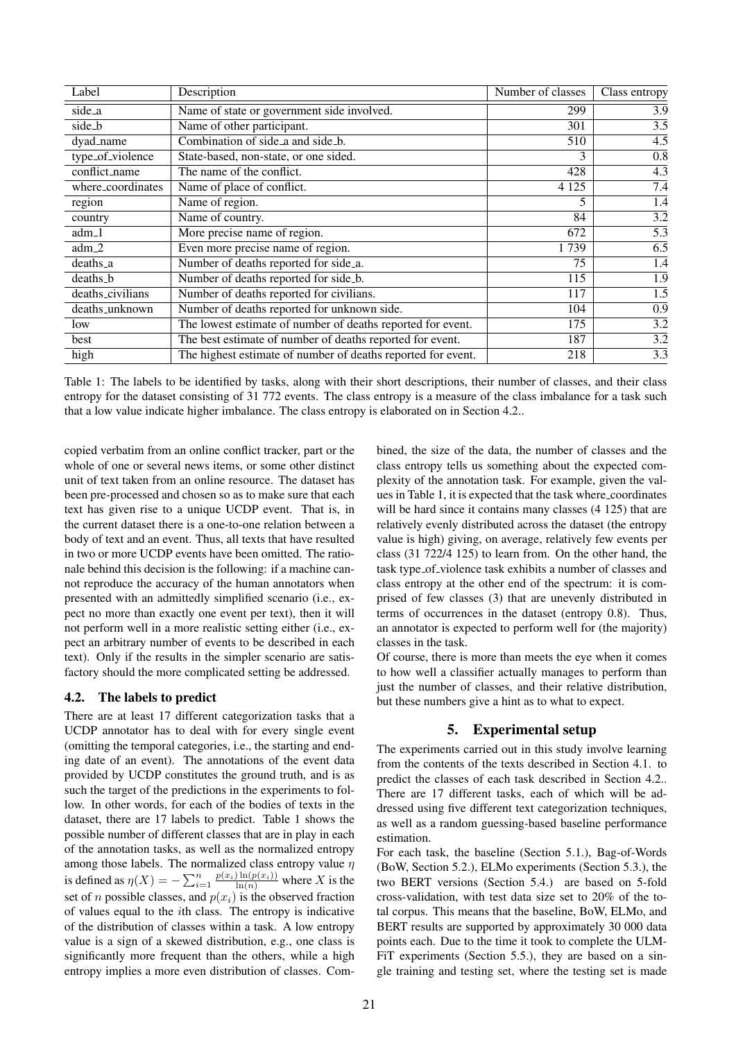| Label             | Description                                                  | Number of classes | Class entropy    |
|-------------------|--------------------------------------------------------------|-------------------|------------------|
| side_a            | Name of state or government side involved.                   | 299               | $\overline{3.9}$ |
| side_b            | Name of other participant.                                   | 301               | $\overline{3.5}$ |
| dyad_name         | Combination of side_a and side_b.                            | 510               | $\overline{4.5}$ |
| type_of_violence  | State-based, non-state, or one sided.                        | 3                 | 0.8              |
| conflict_name     | The name of the conflict.                                    | 428               | 4.3              |
| where_coordinates | Name of place of conflict.                                   | 4 1 2 5           | 7.4              |
| region            | Name of region.                                              | 5                 | 1.4              |
| country           | Name of country.                                             | 84                | 3.2              |
| adm <sub>-1</sub> | More precise name of region.                                 | 672               | 5.3              |
| $adm_2$           | Even more precise name of region.                            | 1739              | 6.5              |
| deaths_a          | Number of deaths reported for side_a.                        | 75                | 1.4              |
| deaths_b          | Number of deaths reported for side_b.                        | 115               | 1.9              |
| deaths_civilians  | Number of deaths reported for civilians.                     | 117               | 1.5              |
| deaths_unknown    | Number of deaths reported for unknown side.                  | 104               | 0.9              |
| low               | The lowest estimate of number of deaths reported for event.  | 175               | 3.2              |
| best              | The best estimate of number of deaths reported for event.    | 187               | $\overline{3.2}$ |
| high              | The highest estimate of number of deaths reported for event. | 218               | 3.3              |

<span id="page-2-0"></span>Table 1: The labels to be identified by tasks, along with their short descriptions, their number of classes, and their class entropy for the dataset consisting of 31 772 events. The class entropy is a measure of the class imbalance for a task such that a low value indicate higher imbalance. The class entropy is elaborated on in Section [4.2..](#page-2-1)

copied verbatim from an online conflict tracker, part or the whole of one or several news items, or some other distinct unit of text taken from an online resource. The dataset has been pre-processed and chosen so as to make sure that each text has given rise to a unique UCDP event. That is, in the current dataset there is a one-to-one relation between a body of text and an event. Thus, all texts that have resulted in two or more UCDP events have been omitted. The rationale behind this decision is the following: if a machine cannot reproduce the accuracy of the human annotators when presented with an admittedly simplified scenario (i.e., expect no more than exactly one event per text), then it will not perform well in a more realistic setting either (i.e., expect an arbitrary number of events to be described in each text). Only if the results in the simpler scenario are satisfactory should the more complicated setting be addressed.

## <span id="page-2-1"></span>4.2. The labels to predict

There are at least 17 different categorization tasks that a UCDP annotator has to deal with for every single event (omitting the temporal categories, i.e., the starting and ending date of an event). The annotations of the event data provided by UCDP constitutes the ground truth, and is as such the target of the predictions in the experiments to follow. In other words, for each of the bodies of texts in the dataset, there are 17 labels to predict. Table [1](#page-2-0) shows the possible number of different classes that are in play in each of the annotation tasks, as well as the normalized entropy among those labels. The normalized class entropy value  $\eta$ is defined as  $\eta(X) = -\sum_{i=1}^n \frac{p(x_i) \ln(p(x_i))}{\ln(n)}$  where X is the set of *n* possible classes, and  $p(x_i)$  is the observed fraction of values equal to the ith class. The entropy is indicative of the distribution of classes within a task. A low entropy value is a sign of a skewed distribution, e.g., one class is significantly more frequent than the others, while a high entropy implies a more even distribution of classes. Combined, the size of the data, the number of classes and the class entropy tells us something about the expected complexity of the annotation task. For example, given the values in Table [1,](#page-2-0) it is expected that the task where coordinates will be hard since it contains many classes  $(4\ 125)$  that are relatively evenly distributed across the dataset (the entropy value is high) giving, on average, relatively few events per class (31 722/4 125) to learn from. On the other hand, the task type of violence task exhibits a number of classes and class entropy at the other end of the spectrum: it is comprised of few classes (3) that are unevenly distributed in terms of occurrences in the dataset (entropy 0.8). Thus, an annotator is expected to perform well for (the majority) classes in the task.

Of course, there is more than meets the eye when it comes to how well a classifier actually manages to perform than just the number of classes, and their relative distribution, but these numbers give a hint as to what to expect.

## 5. Experimental setup

The experiments carried out in this study involve learning from the contents of the texts described in Section [4.1.](#page-1-1) to predict the classes of each task described in Section [4.2..](#page-2-1) There are 17 different tasks, each of which will be addressed using five different text categorization techniques, as well as a random guessing-based baseline performance estimation.

For each task, the baseline (Section [5.1.\)](#page-3-1), Bag-of-Words (BoW, Section [5.2.\)](#page-3-2), ELMo experiments (Section [5.3.\)](#page-3-3), the two BERT versions (Section [5.4.\)](#page-3-0) are based on 5-fold cross-validation, with test data size set to 20% of the total corpus. This means that the baseline, BoW, ELMo, and BERT results are supported by approximately 30 000 data points each. Due to the time it took to complete the ULM-FiT experiments (Section [5.5.\)](#page-3-4), they are based on a single training and testing set, where the testing set is made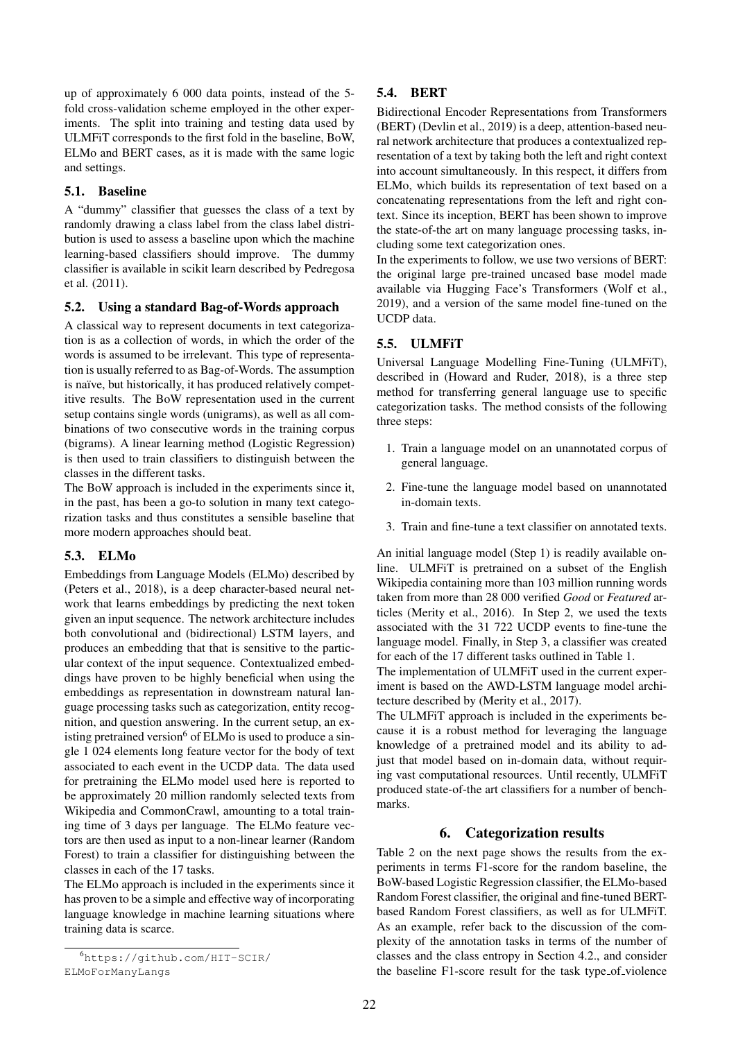up of approximately 6 000 data points, instead of the 5 fold cross-validation scheme employed in the other experiments. The split into training and testing data used by ULMFiT corresponds to the first fold in the baseline, BoW, ELMo and BERT cases, as it is made with the same logic and settings.

## <span id="page-3-1"></span>5.1. Baseline

A "dummy" classifier that guesses the class of a text by randomly drawing a class label from the class label distribution is used to assess a baseline upon which the machine learning-based classifiers should improve. The dummy classifier is available in scikit learn described by [Pedregosa](#page-5-11) [et al. \(2011\)](#page-5-11).

## <span id="page-3-2"></span>5.2. Using a standard Bag-of-Words approach

A classical way to represent documents in text categorization is as a collection of words, in which the order of the words is assumed to be irrelevant. This type of representation is usually referred to as Bag-of-Words. The assumption is naïve, but historically, it has produced relatively competitive results. The BoW representation used in the current setup contains single words (unigrams), as well as all combinations of two consecutive words in the training corpus (bigrams). A linear learning method (Logistic Regression) is then used to train classifiers to distinguish between the classes in the different tasks.

The BoW approach is included in the experiments since it, in the past, has been a go-to solution in many text categorization tasks and thus constitutes a sensible baseline that more modern approaches should beat.

## <span id="page-3-3"></span>5.3. ELMo

Embeddings from Language Models (ELMo) described by [\(Peters et al., 2018\)](#page-5-12), is a deep character-based neural network that learns embeddings by predicting the next token given an input sequence. The network architecture includes both convolutional and (bidirectional) LSTM layers, and produces an embedding that that is sensitive to the particular context of the input sequence. Contextualized embeddings have proven to be highly beneficial when using the embeddings as representation in downstream natural language processing tasks such as categorization, entity recognition, and question answering. In the current setup, an existing pretrained version $6$  of ELMo is used to produce a single 1 024 elements long feature vector for the body of text associated to each event in the UCDP data. The data used for pretraining the ELMo model used here is reported to be approximately 20 million randomly selected texts from Wikipedia and CommonCrawl, amounting to a total training time of 3 days per language. The ELMo feature vectors are then used as input to a non-linear learner (Random Forest) to train a classifier for distinguishing between the classes in each of the 17 tasks.

The ELMo approach is included in the experiments since it has proven to be a simple and effective way of incorporating language knowledge in machine learning situations where training data is scarce.

# <span id="page-3-0"></span>5.4. BERT

Bidirectional Encoder Representations from Transformers (BERT) [\(Devlin et al., 2019\)](#page-5-13) is a deep, attention-based neural network architecture that produces a contextualized representation of a text by taking both the left and right context into account simultaneously. In this respect, it differs from ELMo, which builds its representation of text based on a concatenating representations from the left and right context. Since its inception, BERT has been shown to improve the state-of-the art on many language processing tasks, including some text categorization ones.

In the experiments to follow, we use two versions of BERT: the original large pre-trained uncased base model made available via Hugging Face's Transformers [\(Wolf et al.,](#page-6-5) [2019\)](#page-6-5), and a version of the same model fine-tuned on the UCDP data.

# <span id="page-3-4"></span>5.5. ULMFiT

Universal Language Modelling Fine-Tuning (ULMFiT), described in [\(Howard and Ruder, 2018\)](#page-5-14), is a three step method for transferring general language use to specific categorization tasks. The method consists of the following three steps:

- 1. Train a language model on an unannotated corpus of general language.
- 2. Fine-tune the language model based on unannotated in-domain texts.
- 3. Train and fine-tune a text classifier on annotated texts.

An initial language model (Step 1) is readily available online. ULMFiT is pretrained on a subset of the English Wikipedia containing more than 103 million running words taken from more than 28 000 verified *Good* or *Featured* articles [\(Merity et al., 2016\)](#page-5-15). In Step 2, we used the texts associated with the 31 722 UCDP events to fine-tune the language model. Finally, in Step 3, a classifier was created for each of the 17 different tasks outlined in Table [1.](#page-2-0)

The implementation of ULMFiT used in the current experiment is based on the AWD-LSTM language model architecture described by [\(Merity et al., 2017\)](#page-5-16).

The ULMFiT approach is included in the experiments because it is a robust method for leveraging the language knowledge of a pretrained model and its ability to adjust that model based on in-domain data, without requiring vast computational resources. Until recently, ULMFiT produced state-of-the art classifiers for a number of benchmarks.

## 6. Categorization results

Table [2 on the next page](#page-4-0) shows the results from the experiments in terms F1-score for the random baseline, the BoW-based Logistic Regression classifier, the ELMo-based Random Forest classifier, the original and fine-tuned BERTbased Random Forest classifiers, as well as for ULMFiT. As an example, refer back to the discussion of the complexity of the annotation tasks in terms of the number of classes and the class entropy in Section [4.2.,](#page-2-1) and consider the baseline F1-score result for the task type\_of\_violence

<span id="page-3-5"></span><sup>6</sup>[https://github.com/HIT-SCIR/](https://github.com/HIT-SCIR/ELMoForManyLangs) [ELMoForManyLangs](https://github.com/HIT-SCIR/ELMoForManyLangs)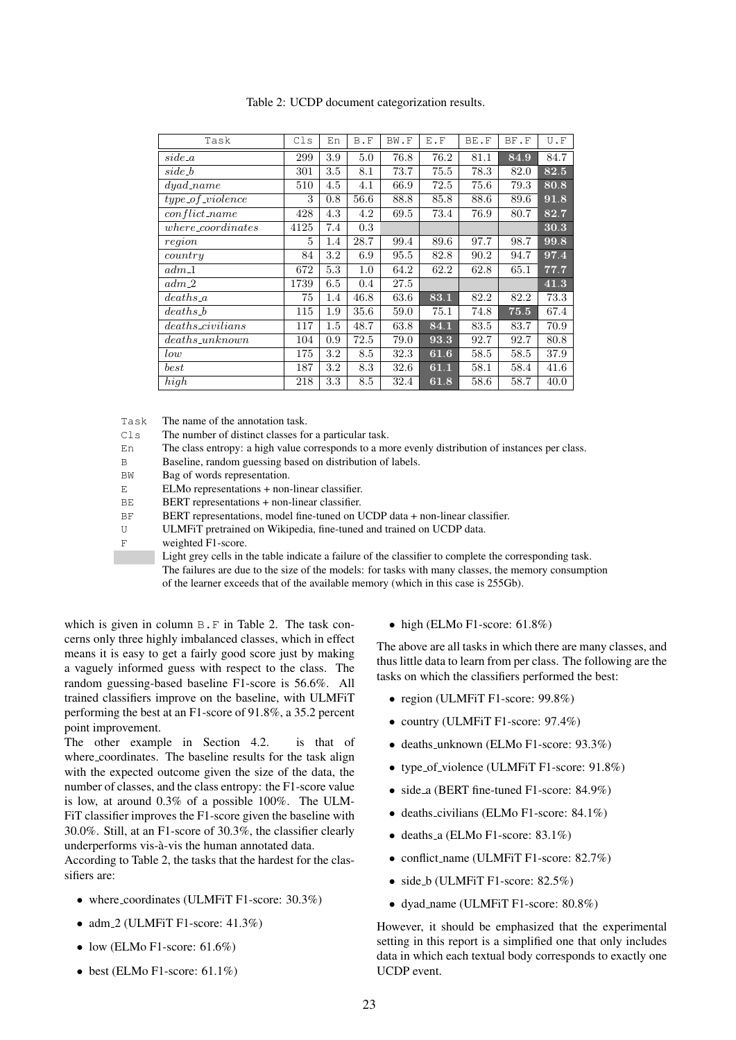| Task                           | Cls  | En  | B.F  | BW.F | E.F  | BE.F | BF.F | U.F  |
|--------------------------------|------|-----|------|------|------|------|------|------|
| $side\_a$                      | 299  | 3.9 | 5.0  | 76.8 | 76.2 | 81.1 | 84.9 | 84.7 |
| $side_b$                       | 301  | 3.5 | 8.1  | 73.7 | 75.5 | 78.3 | 82.0 | 82.5 |
| $\overline{dy}$ ad_name        | 510  | 4.5 | 4.1  | 66.9 | 72.5 | 75.6 | 79.3 | 80.8 |
| $type\_of\_violence$           | 3    | 0.8 | 56.6 | 88.8 | 85.8 | 88.6 | 89.6 | 91.8 |
| $conflict_name$                | 428  | 4.3 | 4.2  | 69.5 | 73.4 | 76.9 | 80.7 | 82.7 |
| $where$ <sub>coordinates</sub> | 4125 | 7.4 | 0.3  |      |      |      |      | 30.3 |
| region                         | 5    | 1.4 | 28.7 | 99.4 | 89.6 | 97.7 | 98.7 | 99.8 |
| country                        | 84   | 3.2 | 6.9  | 95.5 | 82.8 | 90.2 | 94.7 | 97.4 |
| $adm_1$                        | 672  | 5.3 | 1.0  | 64.2 | 62.2 | 62.8 | 65.1 | 77.7 |
| $adm_2$                        | 1739 | 6.5 | 0.4  | 27.5 |      |      |      | 41.3 |
| $deaths_a$                     | 75   | 1.4 | 46.8 | 63.6 | 83.1 | 82.2 | 82.2 | 73.3 |
| $deaths_b$                     | 115  | 1.9 | 35.6 | 59.0 | 75.1 | 74.8 | 75.5 | 67.4 |
| $deaths\_civilians$            | 117  | 1.5 | 48.7 | 63.8 | 84.1 | 83.5 | 83.7 | 70.9 |
| $deaths\_unknown$              | 104  | 0.9 | 72.5 | 79.0 | 93.3 | 92.7 | 92.7 | 80.8 |
| low                            | 175  | 3.2 | 8.5  | 32.3 | 61.6 | 58.5 | 58.5 | 37.9 |
| best                           | 187  | 3.2 | 8.3  | 32.6 | 61.1 | 58.1 | 58.4 | 41.6 |
| high                           | 218  | 3.3 | 8.5  | 32.4 | 61.8 | 58.6 | 58.7 | 40.0 |

<span id="page-4-0"></span>Table 2: UCDP document categorization results.

Task The name of the annotation task.

Cls The number of distinct classes for a particular task.

En The class entropy: a high value corresponds to a more evenly distribution of instances per class.

B Baseline, random guessing based on distribution of labels.

BW Bag of words representation.

ELMo representations + non-linear classifier.

BERT representations + non-linear classifier.

BF BERT representations, model fine-tuned on UCDP data + non-linear classifier.

U ULMFiT pretrained on Wikipedia, fine-tuned and trained on UCDP data.

F weighted F1-score.

Light grey cells in the table indicate a failure of the classifier to complete the corresponding task. The failures are due to the size of the models: for tasks with many classes, the memory consumption of the learner exceeds that of the available memory (which in this case is 255Gb).

which is given in column  $B \cdot F$  in Table [2.](#page-4-0) The task concerns only three highly imbalanced classes, which in effect means it is easy to get a fairly good score just by making a vaguely informed guess with respect to the class. The random guessing-based baseline F1-score is 56.6%. All trained classifiers improve on the baseline, with ULMFiT performing the best at an F1-score of 91.8%, a 35.2 percent point improvement.

The other example in Section [4.2.](#page-2-1) is that of where coordinates. The baseline results for the task align with the expected outcome given the size of the data, the number of classes, and the class entropy: the F1-score value is low, at around 0.3% of a possible 100%. The ULM-FiT classifier improves the F1-score given the baseline with 30.0%. Still, at an F1-score of 30.3%, the classifier clearly underperforms vis-à-vis the human annotated data.

According to Table [2,](#page-4-0) the tasks that the hardest for the classifiers are:

- where coordinates (ULMFiT F1-score: 30.3%)
- adm.2 (ULMFiT F1-score:  $41.3\%$ )
- low (ELMo F1-score:  $61.6\%$ )
- best (ELMo F1-score:  $61.1\%$ )

• high (ELMo F1-score:  $61.8\%$ )

The above are all tasks in which there are many classes, and thus little data to learn from per class. The following are the tasks on which the classifiers performed the best:

- region (ULMFiT F1-score: 99.8%)
- country (ULMFiT F1-score: 97.4%)
- deaths unknown (ELMo F1-score: 93.3%)
- type\_of\_violence (ULMFiT F1-score: 91.8%)
- side a (BERT fine-tuned F1-score: 84.9%)
- deaths\_civilians (ELMo F1-score: 84.1%)
- deaths\_a (ELMo F1-score:  $83.1\%$ )
- conflict\_name (ULMFiT F1-score: 82.7%)
- side\_b (ULMFiT F1-score:  $82.5\%$ )
- dyad name (ULMFiT F1-score: 80.8%)

However, it should be emphasized that the experimental setting in this report is a simplified one that only includes data in which each textual body corresponds to exactly one UCDP event.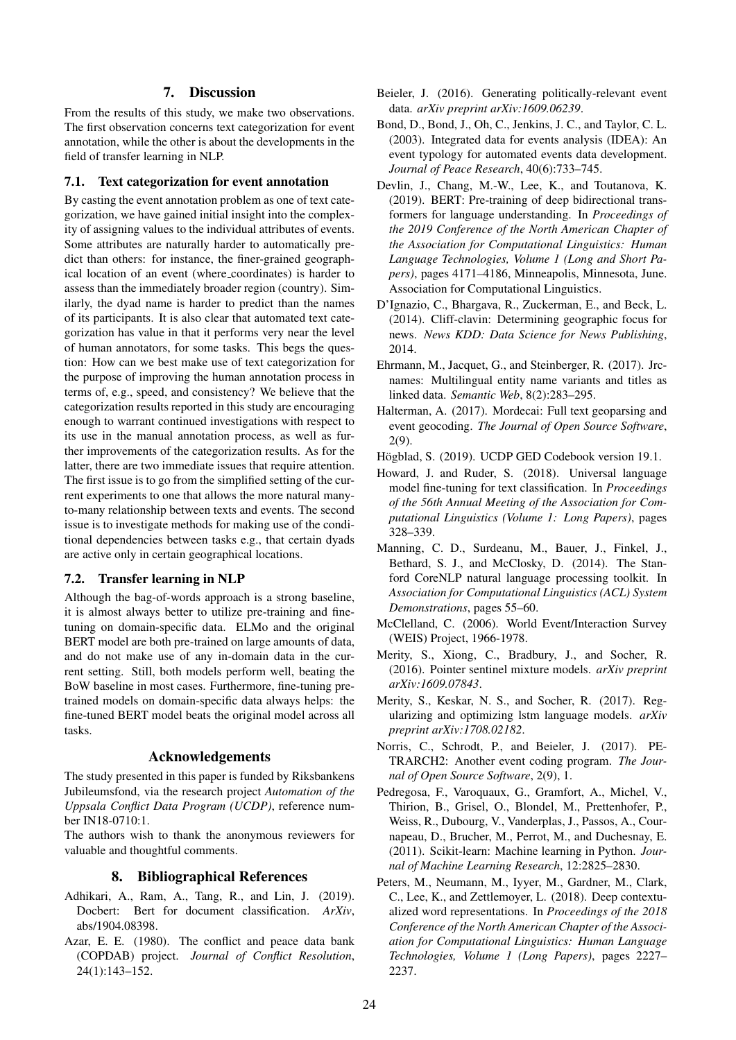#### 7. Discussion

From the results of this study, we make two observations. The first observation concerns text categorization for event annotation, while the other is about the developments in the field of transfer learning in NLP.

#### 7.1. Text categorization for event annotation

By casting the event annotation problem as one of text categorization, we have gained initial insight into the complexity of assigning values to the individual attributes of events. Some attributes are naturally harder to automatically predict than others: for instance, the finer-grained geographical location of an event (where coordinates) is harder to assess than the immediately broader region (country). Similarly, the dyad name is harder to predict than the names of its participants. It is also clear that automated text categorization has value in that it performs very near the level of human annotators, for some tasks. This begs the question: How can we best make use of text categorization for the purpose of improving the human annotation process in terms of, e.g., speed, and consistency? We believe that the categorization results reported in this study are encouraging enough to warrant continued investigations with respect to its use in the manual annotation process, as well as further improvements of the categorization results. As for the latter, there are two immediate issues that require attention. The first issue is to go from the simplified setting of the current experiments to one that allows the more natural manyto-many relationship between texts and events. The second issue is to investigate methods for making use of the conditional dependencies between tasks e.g., that certain dyads are active only in certain geographical locations.

## 7.2. Transfer learning in NLP

Although the bag-of-words approach is a strong baseline, it is almost always better to utilize pre-training and finetuning on domain-specific data. ELMo and the original BERT model are both pre-trained on large amounts of data, and do not make use of any in-domain data in the current setting. Still, both models perform well, beating the BoW baseline in most cases. Furthermore, fine-tuning pretrained models on domain-specific data always helps: the fine-tuned BERT model beats the original model across all tasks.

#### Acknowledgements

The study presented in this paper is funded by Riksbankens Jubileumsfond, via the research project *Automation of the Uppsala Conflict Data Program (UCDP)*, reference number IN18-0710:1.

The authors wish to thank the anonymous reviewers for valuable and thoughtful comments.

#### 8. Bibliographical References

- <span id="page-5-9"></span>Adhikari, A., Ram, A., Tang, R., and Lin, J. (2019). Docbert: Bert for document classification. *ArXiv*, abs/1904.08398.
- <span id="page-5-5"></span>Azar, E. E. (1980). The conflict and peace data bank (COPDAB) project. *Journal of Conflict Resolution*, 24(1):143–152.
- <span id="page-5-8"></span>Beieler, J. (2016). Generating politically-relevant event data. *arXiv preprint arXiv:1609.06239*.
- <span id="page-5-6"></span>Bond, D., Bond, J., Oh, C., Jenkins, J. C., and Taylor, C. L. (2003). Integrated data for events analysis (IDEA): An event typology for automated events data development. *Journal of Peace Research*, 40(6):733–745.
- <span id="page-5-13"></span>Devlin, J., Chang, M.-W., Lee, K., and Toutanova, K. (2019). BERT: Pre-training of deep bidirectional transformers for language understanding. In *Proceedings of the 2019 Conference of the North American Chapter of the Association for Computational Linguistics: Human Language Technologies, Volume 1 (Long and Short Papers)*, pages 4171–4186, Minneapolis, Minnesota, June. Association for Computational Linguistics.
- <span id="page-5-2"></span>D'Ignazio, C., Bhargava, R., Zuckerman, E., and Beck, L. (2014). Cliff-clavin: Determining geographic focus for news. *News KDD: Data Science for News Publishing*, 2014.
- <span id="page-5-7"></span>Ehrmann, M., Jacquet, G., and Steinberger, R. (2017). Jrcnames: Multilingual entity name variants and titles as linked data. *Semantic Web*, 8(2):283–295.
- <span id="page-5-3"></span>Halterman, A. (2017). Mordecai: Full text geoparsing and event geocoding. *The Journal of Open Source Software*, 2(9).
- <span id="page-5-10"></span>Högblad, S. (2019). UCDP GED Codebook version 19.1.
- <span id="page-5-14"></span>Howard, J. and Ruder, S. (2018). Universal language model fine-tuning for text classification. In *Proceedings of the 56th Annual Meeting of the Association for Computational Linguistics (Volume 1: Long Papers)*, pages 328–339.
- <span id="page-5-1"></span>Manning, C. D., Surdeanu, M., Bauer, J., Finkel, J., Bethard, S. J., and McClosky, D. (2014). The Stanford CoreNLP natural language processing toolkit. In *Association for Computational Linguistics (ACL) System Demonstrations*, pages 55–60.
- <span id="page-5-4"></span>McClelland, C. (2006). World Event/Interaction Survey (WEIS) Project, 1966-1978.
- <span id="page-5-15"></span>Merity, S., Xiong, C., Bradbury, J., and Socher, R. (2016). Pointer sentinel mixture models. *arXiv preprint arXiv:1609.07843*.
- <span id="page-5-16"></span>Merity, S., Keskar, N. S., and Socher, R. (2017). Regularizing and optimizing lstm language models. *arXiv preprint arXiv:1708.02182*.
- <span id="page-5-0"></span>Norris, C., Schrodt, P., and Beieler, J. (2017). PE-TRARCH2: Another event coding program. *The Journal of Open Source Software*, 2(9), 1.
- <span id="page-5-11"></span>Pedregosa, F., Varoquaux, G., Gramfort, A., Michel, V., Thirion, B., Grisel, O., Blondel, M., Prettenhofer, P., Weiss, R., Dubourg, V., Vanderplas, J., Passos, A., Cournapeau, D., Brucher, M., Perrot, M., and Duchesnay, E. (2011). Scikit-learn: Machine learning in Python. *Journal of Machine Learning Research*, 12:2825–2830.
- <span id="page-5-12"></span>Peters, M., Neumann, M., Iyyer, M., Gardner, M., Clark, C., Lee, K., and Zettlemoyer, L. (2018). Deep contextualized word representations. In *Proceedings of the 2018 Conference of the North American Chapter of the Association for Computational Linguistics: Human Language Technologies, Volume 1 (Long Papers)*, pages 2227– 2237.